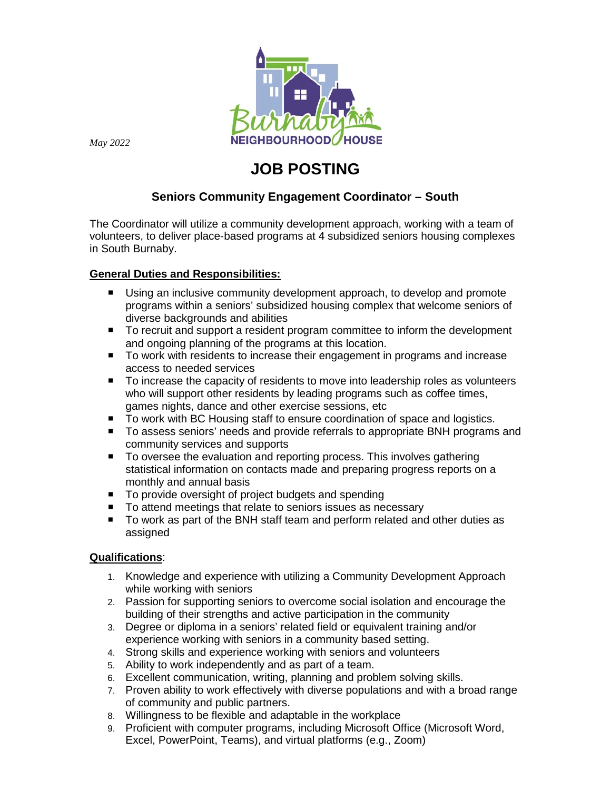

*May 2022*

# **JOB POSTING**

# **Seniors Community Engagement Coordinator – South**

The Coordinator will utilize a community development approach, working with a team of volunteers, to deliver place-based programs at 4 subsidized seniors housing complexes in South Burnaby.

# **General Duties and Responsibilities:**

- Using an inclusive community development approach, to develop and promote programs within a seniors' subsidized housing complex that welcome seniors of diverse backgrounds and abilities
- To recruit and support a resident program committee to inform the development and ongoing planning of the programs at this location.
- To work with residents to increase their engagement in programs and increase access to needed services
- To increase the capacity of residents to move into leadership roles as volunteers who will support other residents by leading programs such as coffee times, games nights, dance and other exercise sessions, etc
- To work with BC Housing staff to ensure coordination of space and logistics.
- To assess seniors' needs and provide referrals to appropriate BNH programs and community services and supports
- To oversee the evaluation and reporting process. This involves gathering statistical information on contacts made and preparing progress reports on a monthly and annual basis
- To provide oversight of project budgets and spending
- To attend meetings that relate to seniors issues as necessary
- To work as part of the BNH staff team and perform related and other duties as assigned

## **Qualifications**:

- 1. Knowledge and experience with utilizing a Community Development Approach while working with seniors
- 2. Passion for supporting seniors to overcome social isolation and encourage the building of their strengths and active participation in the community
- 3. Degree or diploma in a seniors' related field or equivalent training and/or experience working with seniors in a community based setting.
- 4. Strong skills and experience working with seniors and volunteers
- 5. Ability to work independently and as part of a team.
- 6. Excellent communication, writing, planning and problem solving skills.
- 7. Proven ability to work effectively with diverse populations and with a broad range of community and public partners.
- 8. Willingness to be flexible and adaptable in the workplace
- 9. Proficient with computer programs, including Microsoft Office (Microsoft Word, Excel, PowerPoint, Teams), and virtual platforms (e.g., Zoom)